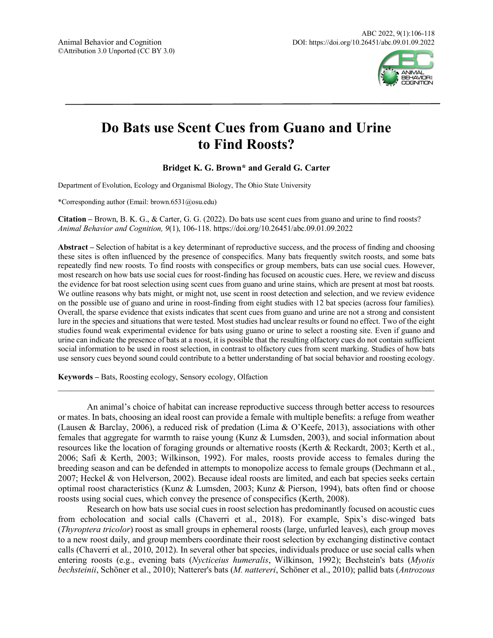

# **Do Bats use Scent Cues from Guano and Urine to Find Roosts?**

## **Bridget K. G. Brown\* and Gerald G. Carter**

Department of Evolution, Ecology and Organismal Biology, The Ohio State University

\*Corresponding author (Email: brown.6531@osu.edu)

**Citation –** Brown, B. K. G., & Carter, G. G. (2022). Do bats use scent cues from guano and urine to find roosts? *Animal Behavior and Cognition, 9*(1), 106-118. https://doi.org/10.26451/abc.09.01.09.2022

**Abstract –** Selection of habitat is a key determinant of reproductive success, and the process of finding and choosing these sites is often influenced by the presence of conspecifics. Many bats frequently switch roosts, and some bats repeatedly find new roosts. To find roosts with conspecifics or group members, bats can use social cues. However, most research on how bats use social cues for roost-finding has focused on acoustic cues. Here, we review and discuss the evidence for bat roost selection using scent cues from guano and urine stains, which are present at most bat roosts. We outline reasons why bats might, or might not, use scent in roost detection and selection, and we review evidence on the possible use of guano and urine in roost-finding from eight studies with 12 bat species (across four families). Overall, the sparse evidence that exists indicates that scent cues from guano and urine are not a strong and consistent lure in the species and situations that were tested. Most studies had unclear results or found no effect. Two of the eight studies found weak experimental evidence for bats using guano or urine to select a roosting site. Even if guano and urine can indicate the presence of bats at a roost, it is possible that the resulting olfactory cues do not contain sufficient social information to be used in roost selection, in contrast to olfactory cues from scent marking. Studies of how bats use sensory cues beyond sound could contribute to a better understanding of bat social behavior and roosting ecology.

**Keywords –** Bats, Roosting ecology, Sensory ecology, Olfaction

An animal's choice of habitat can increase reproductive success through better access to resources or mates. In bats, choosing an ideal roost can provide a female with multiple benefits: a refuge from weather (Lausen & Barclay, 2006), a reduced risk of predation (Lima & O'Keefe, 2013), associations with other females that aggregate for warmth to raise young (Kunz & Lumsden, 2003), and social information about resources like the location of foraging grounds or alternative roosts (Kerth & Reckardt, 2003; Kerth et al., 2006; Safi & Kerth, 2003; Wilkinson, 1992). For males, roosts provide access to females during the breeding season and can be defended in attempts to monopolize access to female groups (Dechmann et al., 2007; Heckel & von Helverson, 2002). Because ideal roosts are limited, and each bat species seeks certain optimal roost characteristics (Kunz & Lumsden, 2003; Kunz & Pierson, 1994), bats often find or choose roosts using social cues, which convey the presence of conspecifics (Kerth, 2008).

 $\mathcal{L}_\mathcal{L} = \{ \mathcal{L}_\mathcal{L} = \{ \mathcal{L}_\mathcal{L} = \{ \mathcal{L}_\mathcal{L} = \{ \mathcal{L}_\mathcal{L} = \{ \mathcal{L}_\mathcal{L} = \{ \mathcal{L}_\mathcal{L} = \{ \mathcal{L}_\mathcal{L} = \{ \mathcal{L}_\mathcal{L} = \{ \mathcal{L}_\mathcal{L} = \{ \mathcal{L}_\mathcal{L} = \{ \mathcal{L}_\mathcal{L} = \{ \mathcal{L}_\mathcal{L} = \{ \mathcal{L}_\mathcal{L} = \{ \mathcal{L}_\mathcal{$ 

Research on how bats use social cues in roost selection has predominantly focused on acoustic cues from echolocation and social calls (Chaverri et al., 2018). For example, Spix's disc-winged bats (*Thyroptera tricolor*) roost as small groups in ephemeral roosts (large, unfurled leaves), each group moves to a new roost daily, and group members coordinate their roost selection by exchanging distinctive contact calls (Chaverri et al., 2010, 2012). In several other bat species, individuals produce or use social calls when entering roosts (e.g., evening bats (*Nycticeius humeralis*, Wilkinson, 1992); Bechstein's bats (*Myotis bechsteinii*, Schöner et al., 2010); Natterer's bats (*M. nattereri*, Schöner et al., 2010); pallid bats (*Antrozous*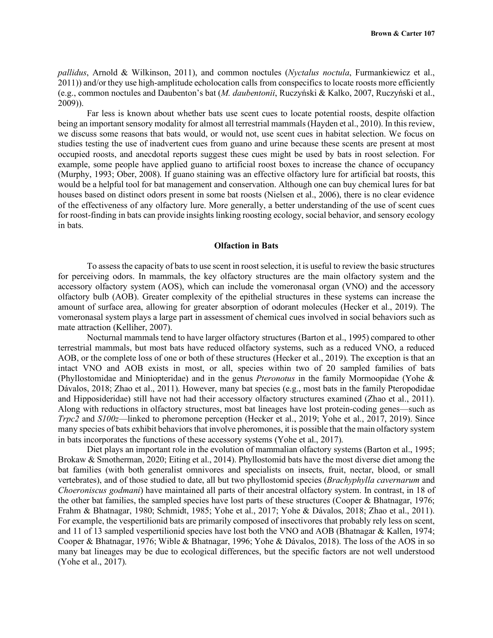*pallidus*, Arnold & Wilkinson, 2011), and common noctules (*Nyctalus noctula*, Furmankiewicz et al., 2011)) and/or they use high-amplitude echolocation calls from conspecifics to locate roosts more efficiently (e.g., common noctules and Daubenton's bat (*M. daubentonii*, Ruczyński & Kalko, 2007, Ruczyński et al., 2009)).

Far less is known about whether bats use scent cues to locate potential roosts, despite olfaction being an important sensory modality for almost all terrestrial mammals (Hayden et al., 2010). In this review, we discuss some reasons that bats would, or would not, use scent cues in habitat selection. We focus on studies testing the use of inadvertent cues from guano and urine because these scents are present at most occupied roosts, and anecdotal reports suggest these cues might be used by bats in roost selection. For example, some people have applied guano to artificial roost boxes to increase the chance of occupancy (Murphy, 1993; Ober, 2008). If guano staining was an effective olfactory lure for artificial bat roosts, this would be a helpful tool for bat management and conservation. Although one can buy chemical lures for bat houses based on distinct odors present in some bat roosts (Nielsen et al., 2006), there is no clear evidence of the effectiveness of any olfactory lure. More generally, a better understanding of the use of scent cues for roost-finding in bats can provide insights linking roosting ecology, social behavior, and sensory ecology in bats.

#### **Olfaction in Bats**

To assess the capacity of bats to use scent in roost selection, it is useful to review the basic structures for perceiving odors. In mammals, the key olfactory structures are the main olfactory system and the accessory olfactory system (AOS), which can include the vomeronasal organ (VNO) and the accessory olfactory bulb (AOB). Greater complexity of the epithelial structures in these systems can increase the amount of surface area, allowing for greater absorption of odorant molecules (Hecker et al., 2019). The vomeronasal system plays a large part in assessment of chemical cues involved in social behaviors such as mate attraction (Kelliher, 2007).

Nocturnal mammals tend to have larger olfactory structures (Barton et al., 1995) compared to other terrestrial mammals, but most bats have reduced olfactory systems, such as a reduced VNO, a reduced AOB, or the complete loss of one or both of these structures (Hecker et al., 2019). The exception is that an intact VNO and AOB exists in most, or all, species within two of 20 sampled families of bats (Phyllostomidae and Miniopteridae) and in the genus *Pteronotus* in the family Mormoopidae (Yohe & Dávalos, 2018; Zhao et al., 2011). However, many bat species (e.g., most bats in the family Pteropodidae and Hipposideridae) still have not had their accessory olfactory structures examined (Zhao et al., 2011). Along with reductions in olfactory structures, most bat lineages have lost protein-coding genes—such as *Trpc2* and *S100z*—linked to pheromone perception (Hecker et al., 2019; Yohe et al., 2017, 2019). Since many species of bats exhibit behaviors that involve pheromones, it is possible that the main olfactory system in bats incorporates the functions of these accessory systems (Yohe et al., 2017).

Diet plays an important role in the evolution of mammalian olfactory systems (Barton et al., 1995; Brokaw & Smotherman, 2020; Eiting et al., 2014). Phyllostomid bats have the most diverse diet among the bat families (with both generalist omnivores and specialists on insects, fruit, nectar, blood, or small vertebrates), and of those studied to date, all but two phyllostomid species (*Brachyphylla cavernarum* and *Choeroniscus godmani*) have maintained all parts of their ancestral olfactory system. In contrast, in 18 of the other bat families, the sampled species have lost parts of these structures (Cooper & Bhatnagar, 1976; Frahm & Bhatnagar, 1980; Schmidt, 1985; Yohe et al., 2017; Yohe & Dávalos, 2018; Zhao et al., 2011). For example, the vespertilionid bats are primarily composed of insectivores that probably rely less on scent, and 11 of 13 sampled vespertilionid species have lost both the VNO and AOB (Bhatnagar & Kallen, 1974; Cooper & Bhatnagar, 1976; Wible & Bhatnagar, 1996; Yohe & Dávalos, 2018). The loss of the AOS in so many bat lineages may be due to ecological differences, but the specific factors are not well understood (Yohe et al., 2017).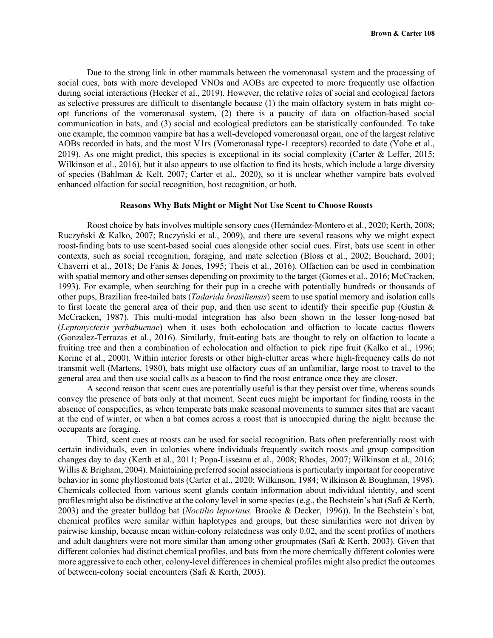Due to the strong link in other mammals between the vomeronasal system and the processing of social cues, bats with more developed VNOs and AOBs are expected to more frequently use olfaction during social interactions (Hecker et al., 2019). However, the relative roles of social and ecological factors as selective pressures are difficult to disentangle because (1) the main olfactory system in bats might coopt functions of the vomeronasal system, (2) there is a paucity of data on olfaction-based social communication in bats, and (3) social and ecological predictors can be statistically confounded. To take one example, the common vampire bat has a well-developed vomeronasal organ, one of the largest relative AOBs recorded in bats, and the most V1rs (Vomeronasal type-1 receptors) recorded to date (Yohe et al., 2019). As one might predict, this species is exceptional in its social complexity (Carter & Leffer, 2015; Wilkinson et al., 2016), but it also appears to use olfaction to find its hosts, which include a large diversity of species (Bahlman & Kelt, 2007; Carter et al., 2020), so it is unclear whether vampire bats evolved enhanced olfaction for social recognition, host recognition, or both.

### **Reasons Why Bats Might or Might Not Use Scent to Choose Roosts**

Roost choice by bats involves multiple sensory cues (Hernández-Montero et al., 2020; Kerth, 2008; Ruczyński & Kalko, 2007; Ruczyński et al., 2009), and there are several reasons why we might expect roost-finding bats to use scent-based social cues alongside other social cues. First, bats use scent in other contexts, such as social recognition, foraging, and mate selection (Bloss et al., 2002; Bouchard, 2001; Chaverri et al., 2018; De Fanis & Jones, 1995; Theis et al., 2016). Olfaction can be used in combination with spatial memory and other senses depending on proximity to the target (Gomes et al., 2016; McCracken, 1993). For example, when searching for their pup in a creche with potentially hundreds or thousands of other pups, Brazilian free-tailed bats (*Tadarida brasiliensis*) seem to use spatial memory and isolation calls to first locate the general area of their pup, and then use scent to identify their specific pup (Gustin  $\&$ McCracken, 1987). This multi-modal integration has also been shown in the lesser long-nosed bat (*Leptonycteris yerbabuenae*) when it uses both echolocation and olfaction to locate cactus flowers (Gonzalez-Terrazas et al., 2016). Similarly, fruit-eating bats are thought to rely on olfaction to locate a fruiting tree and then a combination of echolocation and olfaction to pick ripe fruit (Kalko et al., 1996; Korine et al., 2000). Within interior forests or other high-clutter areas where high-frequency calls do not transmit well (Martens, 1980), bats might use olfactory cues of an unfamiliar, large roost to travel to the general area and then use social calls as a beacon to find the roost entrance once they are closer.

A second reason that scent cues are potentially useful is that they persist over time, whereas sounds convey the presence of bats only at that moment. Scent cues might be important for finding roosts in the absence of conspecifics, as when temperate bats make seasonal movements to summer sites that are vacant at the end of winter, or when a bat comes across a roost that is unoccupied during the night because the occupants are foraging.

Third, scent cues at roosts can be used for social recognition. Bats often preferentially roost with certain individuals, even in colonies where individuals frequently switch roosts and group composition changes day to day (Kerth et al., 2011; Popa-Lisseanu et al., 2008; Rhodes, 2007; Wilkinson et al., 2016; Willis & Brigham, 2004). Maintaining preferred social associations is particularly important for cooperative behavior in some phyllostomid bats (Carter et al., 2020; Wilkinson, 1984; Wilkinson & Boughman, 1998). Chemicals collected from various scent glands contain information about individual identity, and scent profiles might also be distinctive at the colony level in some species (e.g., the Bechstein's bat (Safi & Kerth, 2003) and the greater bulldog bat (*Noctilio leporinus,* Brooke & Decker, 1996)). In the Bechstein's bat, chemical profiles were similar within haplotypes and groups, but these similarities were not driven by pairwise kinship, because mean within-colony relatedness was only 0.02, and the scent profiles of mothers and adult daughters were not more similar than among other groupmates (Safi & Kerth, 2003). Given that different colonies had distinct chemical profiles, and bats from the more chemically different colonies were more aggressive to each other, colony-level differences in chemical profiles might also predict the outcomes of between-colony social encounters (Safi & Kerth, 2003).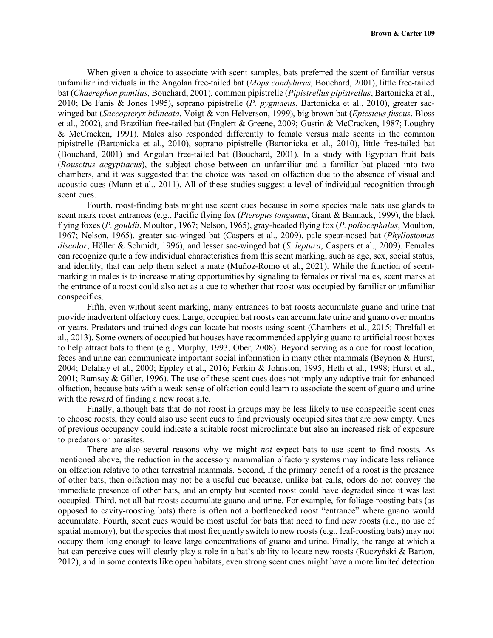When given a choice to associate with scent samples, bats preferred the scent of familiar versus unfamiliar individuals in the Angolan free-tailed bat (*Mops condylurus*, Bouchard, 2001), little free-tailed bat (*Chaerephon pumilus*, Bouchard, 2001), common pipistrelle (*Pipistrellus pipistrellus*, Bartonicka et al., 2010; De Fanis & Jones 1995), soprano pipistrelle (*P. pygmaeus*, Bartonicka et al., 2010), greater sacwinged bat (*Saccopteryx bilineata*, Voigt & von Helverson, 1999), big brown bat (*Eptesicus fuscus*, Bloss et al., 2002), and Brazilian free-tailed bat (Englert & Greene, 2009; Gustin & McCracken, 1987; Loughry & McCracken, 1991). Males also responded differently to female versus male scents in the common pipistrelle (Bartonicka et al., 2010), soprano pipistrelle (Bartonicka et al., 2010), little free-tailed bat (Bouchard, 2001) and Angolan free-tailed bat (Bouchard, 2001). In a study with Egyptian fruit bats (*Rousettus aegyptiacus*), the subject chose between an unfamiliar and a familiar bat placed into two chambers, and it was suggested that the choice was based on olfaction due to the absence of visual and acoustic cues (Mann et al., 2011). All of these studies suggest a level of individual recognition through scent cues.

Fourth, roost-finding bats might use scent cues because in some species male bats use glands to scent mark roost entrances (e.g., Pacific flying fox (*Pteropus tonganus*, Grant & Bannack, 1999), the black flying foxes (*P. gouldii*, Moulton, 1967; Nelson, 1965), gray-headed flying fox (*P. poliocephalus*, Moulton, 1967; Nelson, 1965), greater sac-winged bat (Caspers et al., 2009), pale spear-nosed bat (*Phyllostomus discolor*, Höller & Schmidt, 1996), and lesser sac-winged bat (*S. leptura*, Caspers et al., 2009). Females can recognize quite a few individual characteristics from this scent marking, such as age, sex, social status, and identity, that can help them select a mate (Muñoz-Romo et al., 2021). While the function of scentmarking in males is to increase mating opportunities by signaling to females or rival males, scent marks at the entrance of a roost could also act as a cue to whether that roost was occupied by familiar or unfamiliar conspecifics.

Fifth, even without scent marking, many entrances to bat roosts accumulate guano and urine that provide inadvertent olfactory cues. Large, occupied bat roosts can accumulate urine and guano over months or years. Predators and trained dogs can locate bat roosts using scent (Chambers et al., 2015; Threlfall et al., 2013). Some owners of occupied bat houses have recommended applying guano to artificial roost boxes to help attract bats to them (e.g., Murphy, 1993; Ober, 2008). Beyond serving as a cue for roost location, feces and urine can communicate important social information in many other mammals (Beynon & Hurst, 2004; Delahay et al., 2000; Eppley et al., 2016; Ferkin & Johnston, 1995; Heth et al., 1998; Hurst et al., 2001; Ramsay & Giller, 1996). The use of these scent cues does not imply any adaptive trait for enhanced olfaction, because bats with a weak sense of olfaction could learn to associate the scent of guano and urine with the reward of finding a new roost site.

Finally, although bats that do not roost in groups may be less likely to use conspecific scent cues to choose roosts, they could also use scent cues to find previously occupied sites that are now empty. Cues of previous occupancy could indicate a suitable roost microclimate but also an increased risk of exposure to predators or parasites.

There are also several reasons why we might *not* expect bats to use scent to find roosts. As mentioned above, the reduction in the accessory mammalian olfactory systems may indicate less reliance on olfaction relative to other terrestrial mammals. Second, if the primary benefit of a roost is the presence of other bats, then olfaction may not be a useful cue because, unlike bat calls, odors do not convey the immediate presence of other bats, and an empty but scented roost could have degraded since it was last occupied. Third, not all bat roosts accumulate guano and urine. For example, for foliage-roosting bats (as opposed to cavity-roosting bats) there is often not a bottlenecked roost "entrance" where guano would accumulate. Fourth, scent cues would be most useful for bats that need to find new roosts (i.e., no use of spatial memory), but the species that most frequently switch to new roosts (e.g., leaf-roosting bats) may not occupy them long enough to leave large concentrations of guano and urine. Finally, the range at which a bat can perceive cues will clearly play a role in a bat's ability to locate new roosts (Ruczyński & Barton, 2012), and in some contexts like open habitats, even strong scent cues might have a more limited detection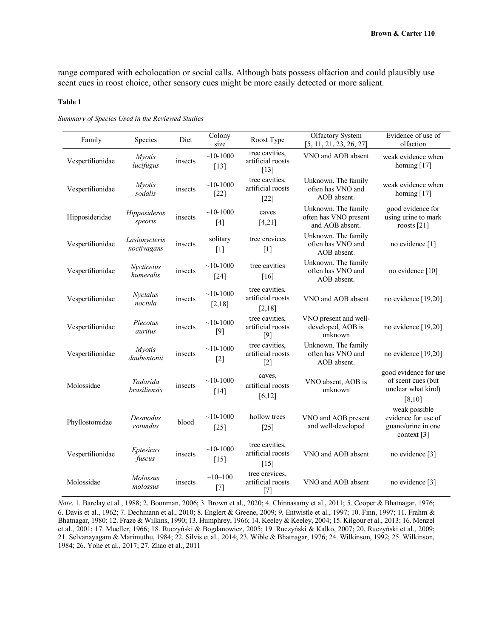range compared with echolocation or social calls. Although bats possess olfaction and could plausibly use scent cues in roost choice, other sensory cues might be more easily detected or more salient.

#### **Table 1**

| Family           | Species                         | Diet    | Colony<br>size        | Roost Type                                    | Olfactory System<br>[5, 11, 21, 23, 26, 27]                     | Evidence of use of<br>olfaction                                                         |
|------------------|---------------------------------|---------|-----------------------|-----------------------------------------------|-----------------------------------------------------------------|-----------------------------------------------------------------------------------------|
| Vespertilionidae | <b>Myotis</b><br>lucifugus      | insects | $~10-1000$<br>$[13]$  | tree cavities,<br>artificial roosts<br>$[13]$ | VNO and AOB absent                                              | weak evidence when<br>homing $[17]$                                                     |
| Vespertilionidae | <b>Myotis</b><br>sodalis        | insects | $~10-1000$<br>$[22]$  | tree cavities.<br>artificial roosts<br>$[22]$ | Unknown. The family<br>often has VNO and<br>AOB absent.         | weak evidence when<br>homing $[17]$                                                     |
| Hipposideridae   | Hipposideros<br>speoris         | insects | $~10-1000$<br>$[4]$   | caves<br>[4,21]                               | Unknown. The family<br>often has VNO present<br>and AOB absent. | good evidence for<br>using urine to mark<br>roosts $[21]$                               |
| Vespertilionidae | Lasionycteris<br>noctivagans    | insects | solitary<br>$[1]$     | tree crevices<br>$[1]$                        | Unknown. The family<br>often has VNO and<br>AOB absent.         | no evidence [1]                                                                         |
| Vespertilionidae | Nycticeius<br>humeralis         | insects | $~10-1000$<br>$[24]$  | tree cavities<br>[16]                         | Unknown. The family<br>often has VNO and<br>AOB absent.         | no evidence [10]                                                                        |
| Vespertilionidae | Nyctalus<br>noctula             | insects | $~10-1000$<br>[2,18]  | tree cavities,<br>artificial roosts<br>[2,18] | VNO and AOB absent                                              | no evidence [19,20]                                                                     |
| Vespertilionidae | Plecotus<br>auritus             | insects | $~10 - 1000$<br>$[9]$ | tree cavities.<br>artificial roosts<br>$[9]$  | VNO present and well-<br>developed, AOB is<br>unknown           | no evidence $[19,20]$                                                                   |
| Vespertilionidae | <i>Mvotis</i><br>daubentonii    | insects | $~10-1000$<br>$[2]$   | tree cavities.<br>artificial roosts<br>$[2]$  | Unknown. The family<br>often has VNO and<br>AOB absent.         | no evidence $[19,20]$                                                                   |
| Molossidae       | Tadarida<br><i>brasiliensis</i> | insects | $~10-1000$<br>$[14]$  | caves,<br>artificial roosts<br>[6, 12]        | VNO absent, AOB is<br>unknown                                   | good evidence for use<br>of scent cues (but<br>unclear what kind)<br>[8, 10]            |
| Phyllostomidae   | Desmodus<br>rotundus            | blood   | $~10-1000$<br>$[25]$  | hollow trees<br>$[25]$                        | VNO and AOB present<br>and well-developed                       | weak possible<br>evidence for use of<br>guano/urine in one<br>context $\lceil 3 \rceil$ |
| Vespertilionidae | Eptesicus<br>fuscus             | insects | $~10-1000$<br>$[15]$  | tree cavities.<br>artificial roosts<br>$[15]$ | VNO and AOB absent                                              | no evidence [3]                                                                         |
| Molossidae       | Molossus<br>molossus            | insects | $~10 - 100$<br>$[7]$  | tree crevices,<br>artificial roosts<br>$[7]$  | VNO and AOB absent                                              | no evidence [3]                                                                         |

*Summary of Species Used in the Reviewed Studies*

*Note*. 1. Barclay et al., 1988; 2. Boonman, 2006; 3. Brown et al., 2020; 4. Chinnasamy et al., 2011; 5. Cooper & Bhatnagar, 1976; 6. Davis et al., 1962; 7. Dechmann et al., 2010; 8. Englert & Greene, 2009; 9. Entwistle et al., 1997; 10. Finn, 1997; 11. Frahm & Bhatnagar, 1980; 12. Fraze & Wilkins, 1990; 13. Humphrey, 1966; 14. Keeley & Keeley, 2004; 15. Kilgour et al., 2013; 16. Menzel et al., 2001; 17. Mueller, 1966; 18. Ruczyński & Bogdanowicz, 2005; 19. Ruczyński & Kalko, 2007; 20. Ruczyński et al., 2009; 21. Selvanayagam & Marimuthu, 1984; 22. Silvis et al., 2014; 23. Wible & Bhatnagar, 1976; 24. Wilkinson, 1992; 25. Wilkinson, 1984; 26. Yohe et al., 2017; 27. Zhao et al., 2011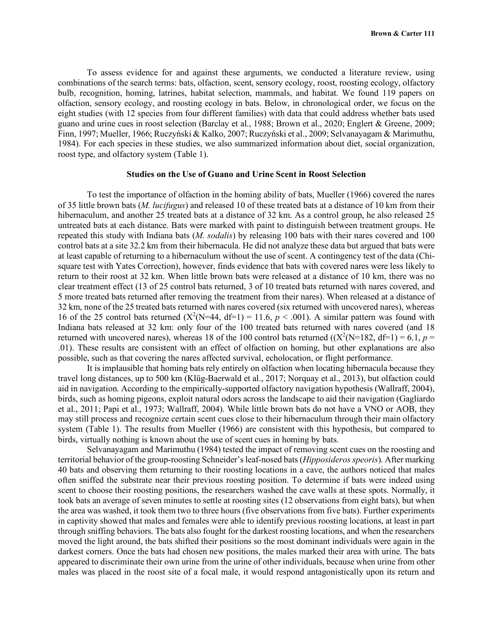To assess evidence for and against these arguments, we conducted a literature review, using combinations of the search terms: bats, olfaction, scent, sensory ecology, roost, roosting ecology, olfactory bulb, recognition, homing, latrines, habitat selection, mammals, and habitat. We found 119 papers on olfaction, sensory ecology, and roosting ecology in bats. Below, in chronological order, we focus on the eight studies (with 12 species from four different families) with data that could address whether bats used guano and urine cues in roost selection (Barclay et al., 1988; Brown et al., 2020; Englert & Greene, 2009; Finn, 1997; Mueller, 1966; Ruczyński & Kalko, 2007; Ruczyński et al., 2009; Selvanayagam & Marimuthu, 1984). For each species in these studies, we also summarized information about diet, social organization, roost type, and olfactory system (Table 1).

#### **Studies on the Use of Guano and Urine Scent in Roost Selection**

To test the importance of olfaction in the homing ability of bats, Mueller (1966) covered the nares of 35 little brown bats (*M. lucifugus*) and released 10 of these treated bats at a distance of 10 km from their hibernaculum, and another 25 treated bats at a distance of 32 km. As a control group, he also released 25 untreated bats at each distance. Bats were marked with paint to distinguish between treatment groups. He repeated this study with Indiana bats (*M. sodalis*) by releasing 100 bats with their nares covered and 100 control bats at a site 32.2 km from their hibernacula. He did not analyze these data but argued that bats were at least capable of returning to a hibernaculum without the use of scent. A contingency test of the data (Chisquare test with Yates Correction), however, finds evidence that bats with covered nares were less likely to return to their roost at 32 km. When little brown bats were released at a distance of 10 km, there was no clear treatment effect (13 of 25 control bats returned, 3 of 10 treated bats returned with nares covered, and 5 more treated bats returned after removing the treatment from their nares). When released at a distance of 32 km, none of the 25 treated bats returned with nares covered (six returned with uncovered nares), whereas 16 of the 25 control bats returned  $(X^2(N=44, df=1) = 11.6, p < .001)$ . A similar pattern was found with Indiana bats released at 32 km: only four of the 100 treated bats returned with nares covered (and 18 returned with uncovered nares), whereas 18 of the 100 control bats returned  $((X^2(N=182, df=1)=6.1, p=$ .01). These results are consistent with an effect of olfaction on homing, but other explanations are also possible, such as that covering the nares affected survival, echolocation, or flight performance.

It is implausible that homing bats rely entirely on olfaction when locating hibernacula because they travel long distances, up to 500 km (Klüg-Baerwald et al., 2017; Norquay et al., 2013), but olfaction could aid in navigation. According to the empirically-supported olfactory navigation hypothesis (Wallraff, 2004), birds, such as homing pigeons, exploit natural odors across the landscape to aid their navigation (Gagliardo et al., 2011; Papi et al., 1973; Wallraff, 2004). While little brown bats do not have a VNO or AOB, they may still process and recognize certain scent cues close to their hibernaculum through their main olfactory system (Table 1). The results from Mueller (1966) are consistent with this hypothesis, but compared to birds, virtually nothing is known about the use of scent cues in homing by bats.

Selvanayagam and Marimuthu (1984) tested the impact of removing scent cues on the roosting and territorial behavior of the group-roosting Schneider's leaf-nosed bats (*Hipposideros speoris*). After marking 40 bats and observing them returning to their roosting locations in a cave, the authors noticed that males often sniffed the substrate near their previous roosting position. To determine if bats were indeed using scent to choose their roosting positions, the researchers washed the cave walls at these spots. Normally, it took bats an average of seven minutes to settle at roosting sites (12 observations from eight bats), but when the area was washed, it took them two to three hours (five observations from five bats). Further experiments in captivity showed that males and females were able to identify previous roosting locations, at least in part through sniffing behaviors. The bats also fought for the darkest roosting locations, and when the researchers moved the light around, the bats shifted their positions so the most dominant individuals were again in the darkest corners. Once the bats had chosen new positions, the males marked their area with urine. The bats appeared to discriminate their own urine from the urine of other individuals, because when urine from other males was placed in the roost site of a focal male, it would respond antagonistically upon its return and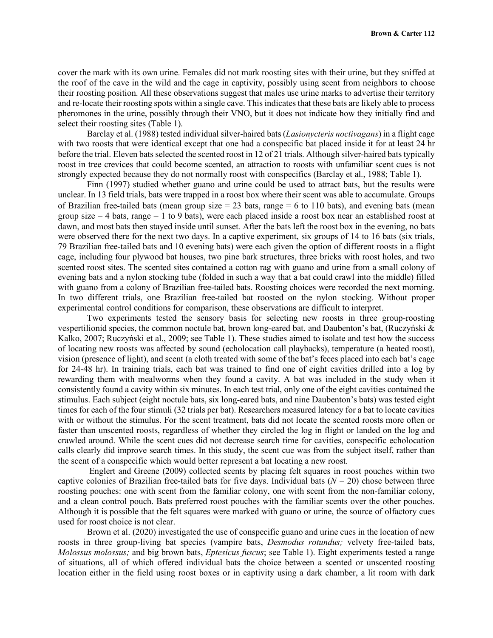cover the mark with its own urine. Females did not mark roosting sites with their urine, but they sniffed at the roof of the cave in the wild and the cage in captivity, possibly using scent from neighbors to choose their roosting position. All these observations suggest that males use urine marks to advertise their territory and re-locate their roosting spots within a single cave. This indicates that these bats are likely able to process pheromones in the urine, possibly through their VNO, but it does not indicate how they initially find and select their roosting sites (Table 1).

Barclay et al. (1988) tested individual silver-haired bats (*Lasionycteris noctivagans*) in a flight cage with two roosts that were identical except that one had a conspecific bat placed inside it for at least 24 hr before the trial. Eleven bats selected the scented roost in 12 of 21 trials. Although silver-haired bats typically roost in tree crevices that could become scented, an attraction to roosts with unfamiliar scent cues is not strongly expected because they do not normally roost with conspecifics (Barclay et al., 1988; Table 1).

Finn (1997) studied whether guano and urine could be used to attract bats, but the results were unclear. In 13 field trials, bats were trapped in a roost box where their scent was able to accumulate. Groups of Brazilian free-tailed bats (mean group size  $= 23$  bats, range  $= 6$  to 110 bats), and evening bats (mean group size  $= 4$  bats, range  $= 1$  to 9 bats), were each placed inside a roost box near an established roost at dawn, and most bats then stayed inside until sunset. After the bats left the roost box in the evening, no bats were observed there for the next two days. In a captive experiment, six groups of 14 to 16 bats (six trials, 79 Brazilian free-tailed bats and 10 evening bats) were each given the option of different roosts in a flight cage, including four plywood bat houses, two pine bark structures, three bricks with roost holes, and two scented roost sites. The scented sites contained a cotton rag with guano and urine from a small colony of evening bats and a nylon stocking tube (folded in such a way that a bat could crawl into the middle) filled with guano from a colony of Brazilian free-tailed bats. Roosting choices were recorded the next morning. In two different trials, one Brazilian free-tailed bat roosted on the nylon stocking. Without proper experimental control conditions for comparison, these observations are difficult to interpret.

Two experiments tested the sensory basis for selecting new roosts in three group-roosting vespertilionid species, the common noctule bat, brown long-eared bat, and Daubenton's bat, (Ruczyński & Kalko, 2007; Ruczyński et al., 2009; see Table 1). These studies aimed to isolate and test how the success of locating new roosts was affected by sound (echolocation call playbacks), temperature (a heated roost), vision (presence of light), and scent (a cloth treated with some of the bat's feces placed into each bat's cage for 24-48 hr). In training trials, each bat was trained to find one of eight cavities drilled into a log by rewarding them with mealworms when they found a cavity. A bat was included in the study when it consistently found a cavity within six minutes. In each test trial, only one of the eight cavities contained the stimulus. Each subject (eight noctule bats, six long-eared bats, and nine Daubenton's bats) was tested eight times for each of the four stimuli (32 trials per bat). Researchers measured latency for a bat to locate cavities with or without the stimulus. For the scent treatment, bats did not locate the scented roosts more often or faster than unscented roosts, regardless of whether they circled the log in flight or landed on the log and crawled around. While the scent cues did not decrease search time for cavities, conspecific echolocation calls clearly did improve search times. In this study, the scent cue was from the subject itself, rather than the scent of a conspecific which would better represent a bat locating a new roost.

Englert and Greene (2009) collected scents by placing felt squares in roost pouches within two captive colonies of Brazilian free-tailed bats for five days. Individual bats  $(N = 20)$  chose between three roosting pouches: one with scent from the familiar colony, one with scent from the non-familiar colony, and a clean control pouch. Bats preferred roost pouches with the familiar scents over the other pouches. Although it is possible that the felt squares were marked with guano or urine, the source of olfactory cues used for roost choice is not clear.

Brown et al. (2020) investigated the use of conspecific guano and urine cues in the location of new roosts in three group-living bat species (vampire bats, *Desmodus rotundus;* velvety free-tailed bats, *Molossus molossus;* and big brown bats, *Eptesicus fuscus*; see Table 1). Eight experiments tested a range of situations, all of which offered individual bats the choice between a scented or unscented roosting location either in the field using roost boxes or in captivity using a dark chamber, a lit room with dark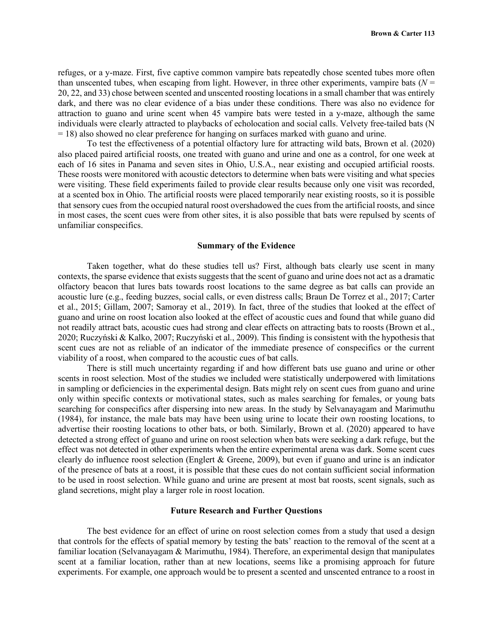refuges, or a y-maze. First, five captive common vampire bats repeatedly chose scented tubes more often than unscented tubes, when escaping from light. However, in three other experiments, vampire bats  $(N =$ 20, 22, and 33) chose between scented and unscented roosting locations in a small chamber that was entirely dark, and there was no clear evidence of a bias under these conditions. There was also no evidence for attraction to guano and urine scent when 45 vampire bats were tested in a y-maze, although the same individuals were clearly attracted to playbacks of echolocation and social calls. Velvety free-tailed bats (N = 18) also showed no clear preference for hanging on surfaces marked with guano and urine.

To test the effectiveness of a potential olfactory lure for attracting wild bats, Brown et al. (2020) also placed paired artificial roosts, one treated with guano and urine and one as a control, for one week at each of 16 sites in Panama and seven sites in Ohio, U.S.A., near existing and occupied artificial roosts. These roosts were monitored with acoustic detectors to determine when bats were visiting and what species were visiting. These field experiments failed to provide clear results because only one visit was recorded, at a scented box in Ohio. The artificial roosts were placed temporarily near existing roosts, so it is possible that sensory cues from the occupied natural roost overshadowed the cues from the artificial roosts, and since in most cases, the scent cues were from other sites, it is also possible that bats were repulsed by scents of unfamiliar conspecifics.

#### **Summary of the Evidence**

Taken together, what do these studies tell us? First, although bats clearly use scent in many contexts, the sparse evidence that exists suggests that the scent of guano and urine does not act as a dramatic olfactory beacon that lures bats towards roost locations to the same degree as bat calls can provide an acoustic lure (e.g., feeding buzzes, social calls, or even distress calls; Braun De Torrez et al., 2017; Carter et al., 2015; Gillam, 2007; Samoray et al., 2019). In fact, three of the studies that looked at the effect of guano and urine on roost location also looked at the effect of acoustic cues and found that while guano did not readily attract bats, acoustic cues had strong and clear effects on attracting bats to roosts (Brown et al., 2020; Ruczyński & Kalko, 2007; Ruczyński et al., 2009). This finding is consistent with the hypothesis that scent cues are not as reliable of an indicator of the immediate presence of conspecifics or the current viability of a roost, when compared to the acoustic cues of bat calls.

There is still much uncertainty regarding if and how different bats use guano and urine or other scents in roost selection. Most of the studies we included were statistically underpowered with limitations in sampling or deficiencies in the experimental design. Bats might rely on scent cues from guano and urine only within specific contexts or motivational states, such as males searching for females, or young bats searching for conspecifics after dispersing into new areas. In the study by Selvanayagam and Marimuthu (1984), for instance, the male bats may have been using urine to locate their own roosting locations, to advertise their roosting locations to other bats, or both. Similarly, Brown et al. (2020) appeared to have detected a strong effect of guano and urine on roost selection when bats were seeking a dark refuge, but the effect was not detected in other experiments when the entire experimental arena was dark. Some scent cues clearly do influence roost selection (Englert & Greene, 2009), but even if guano and urine is an indicator of the presence of bats at a roost, it is possible that these cues do not contain sufficient social information to be used in roost selection. While guano and urine are present at most bat roosts, scent signals, such as gland secretions, might play a larger role in roost location.

#### **Future Research and Further Questions**

The best evidence for an effect of urine on roost selection comes from a study that used a design that controls for the effects of spatial memory by testing the bats' reaction to the removal of the scent at a familiar location (Selvanayagam & Marimuthu, 1984). Therefore, an experimental design that manipulates scent at a familiar location, rather than at new locations, seems like a promising approach for future experiments. For example, one approach would be to present a scented and unscented entrance to a roost in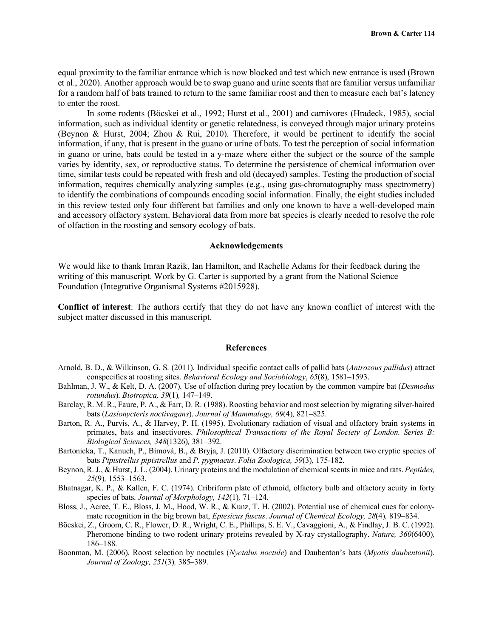equal proximity to the familiar entrance which is now blocked and test which new entrance is used (Brown et al., 2020). Another approach would be to swap guano and urine scents that are familiar versus unfamiliar for a random half of bats trained to return to the same familiar roost and then to measure each bat's latency to enter the roost.

In some rodents (Böcskei et al., 1992; Hurst et al., 2001) and carnivores (Hradeck, 1985), social information, such as individual identity or genetic relatedness, is conveyed through major urinary proteins (Beynon & Hurst, 2004; Zhou & Rui, 2010). Therefore, it would be pertinent to identify the social information, if any, that is present in the guano or urine of bats. To test the perception of social information in guano or urine, bats could be tested in a y-maze where either the subject or the source of the sample varies by identity, sex, or reproductive status. To determine the persistence of chemical information over time, similar tests could be repeated with fresh and old (decayed) samples. Testing the production of social information, requires chemically analyzing samples (e.g., using gas-chromatography mass spectrometry) to identify the combinations of compounds encoding social information. Finally, the eight studies included in this review tested only four different bat families and only one known to have a well-developed main and accessory olfactory system. Behavioral data from more bat species is clearly needed to resolve the role of olfaction in the roosting and sensory ecology of bats.

#### **Acknowledgements**

We would like to thank Imran Razik, Ian Hamilton, and Rachelle Adams for their feedback during the writing of this manuscript. Work by G. Carter is supported by a grant from the National Science Foundation (Integrative Organismal Systems #2015928).

**Conflict of interest**: The authors certify that they do not have any known conflict of interest with the subject matter discussed in this manuscript.

#### **References**

- Arnold, B. D., & Wilkinson, G. S. (2011). Individual specific contact calls of pallid bats (*Antrozous pallidus*) attract conspecifics at roosting sites. *Behavioral Ecology and Sociobiology*, *65*(8), 1581–1593.
- Bahlman, J. W., & Kelt, D. A. (2007). Use of olfaction during prey location by the common vampire bat (*Desmodus rotundus*). *Biotropica, 39*(1)*,* 147–149.
- Barclay, R. M. R., Faure, P. A., & Farr, D. R. (1988). Roosting behavior and roost selection by migrating silver-haired bats (*Lasionycteris noctivagans*). *Journal of Mammalogy, 69*(4)*,* 821–825.
- Barton, R. A., Purvis, A., & Harvey, P. H. (1995). Evolutionary radiation of visual and olfactory brain systems in primates, bats and insectivores. *Philosophical Transactions of the Royal Society of London. Series B: Biological Sciences, 348*(1326)*,* 381–392.
- Bartonicka, T., Kanuch, P., Bímová, B., & Bryja, J. (2010). Olfactory discrimination between two cryptic species of bats *Pipistrellus pipistrellus* and *P. pygmaeus*. *Folia Zoologica, 59*(3)*,* 175-182.
- Beynon, R. J., & Hurst, J. L. (2004). Urinary proteins and the modulation of chemical scents in mice and rats. *Peptides, 25*(9)*,* 1553–1563.
- Bhatnagar, K. P., & Kallen, F. C. (1974). Cribriform plate of ethmoid, olfactory bulb and olfactory acuity in forty species of bats. *Journal of Morphology, 142*(1)*,* 71–124.
- Bloss, J., Acree, T. E., Bloss, J. M., Hood, W. R., & Kunz, T. H. (2002). Potential use of chemical cues for colonymate recognition in the big brown bat, *Eptesicus fuscus*. *Journal of Chemical Ecology, 28*(4)*,* 819–834.
- Böcskei, Z., Groom, C. R., Flower, D. R., Wright, C. E., Phillips, S. E. V., Cavaggioni, A., & Findlay, J. B. C. (1992). Pheromone binding to two rodent urinary proteins revealed by X-ray crystallography. *Nature, 360*(6400)*,* 186–188.
- Boonman, M. (2006). Roost selection by noctules (*Nyctalus noctule*) and Daubenton's bats (*Myotis daubentonii*). *Journal of Zoology, 251*(3)*,* 385–389.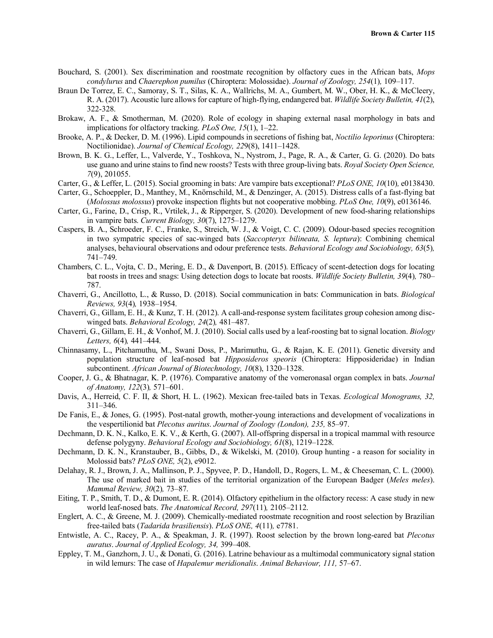- Bouchard, S. (2001). Sex discrimination and roostmate recognition by olfactory cues in the African bats, *Mops condylurus* and *Chaerephon pumilus* (Chiroptera: Molossidae). *Journal of Zoology, 254*(1)*,* 109–117.
- Braun De Torrez, E. C., Samoray, S. T., Silas, K. A., Wallrichs, M. A., Gumbert, M. W., Ober, H. K., & McCleery, R. A. (2017). Acoustic lure allows for capture of high-flying, endangered bat. *Wildlife Society Bulletin, 41*(2), 322-328.
- Brokaw, A. F., & Smotherman, M. (2020). Role of ecology in shaping external nasal morphology in bats and implications for olfactory tracking. *PLoS One, 15*(1), 1–22.
- Brooke, A. P., & Decker, D. M. (1996). Lipid compounds in secretions of fishing bat, *Noctilio leporinus* (Chiroptera: Noctilionidae). *Journal of Chemical Ecology, 22*9(8), 1411–1428.
- Brown, B. K. G., Leffer, L., Valverde, Y., Toshkova, N., Nystrom, J., Page, R. A., & Carter, G. G. (2020). Do bats use guano and urine stains to find new roosts? Tests with three group-living bats. *Royal Society Open Science, 7*(9), 201055.
- Carter, G., & Leffer, L. (2015). Social grooming in bats: Are vampire bats exceptional? *PLoS ONE, 10*(10)*,* e0138430.
- Carter, G., Schoeppler, D., Manthey, M., Knörnschild, M., & Denzinger, A. (2015). Distress calls of a fast-flying bat (*Molossus molossus*) provoke inspection flights but not cooperative mobbing. *PLoS One, 10*(9), e0136146.
- Carter, G., Farine, D., Crisp, R., Vrtilek, J., & Ripperger, S. (2020). Development of new food-sharing relationships in vampire bats. *Current Biology, 30*(7), 1275–1279.
- Caspers, B. A., Schroeder, F. C., Franke, S., Streich, W. J., & Voigt, C. C. (2009). Odour-based species recognition in two sympatric species of sac-winged bats (*Saccopteryx bilineata, S. leptura*): Combining chemical analyses, behavioural observations and odour preference tests. *Behavioral Ecology and Sociobiology, 63*(5)*,* 741–749.
- Chambers, C. L., Vojta, C. D., Mering, E. D., & Davenport, B. (2015). Efficacy of scent-detection dogs for locating bat roosts in trees and snags: Using detection dogs to locate bat roosts. *Wildlife Society Bulletin, 39*(4)*,* 780– 787.
- Chaverri, G., Ancillotto, L., & Russo, D. (2018). Social communication in bats: Communication in bats. *Biological Reviews, 93*(4)*,* 1938–1954.
- Chaverri, G., Gillam, E. H., & Kunz, T. H. (2012). A call-and-response system facilitates group cohesion among discwinged bats. *Behavioral Ecology, 24*(2)*,* 481–487.
- Chaverri, G., Gillam, E. H., & Vonhof, M. J. (2010). Social calls used by a leaf-roosting bat to signal location. *Biology Letters, 6*(4)*,* 441–444.
- Chinnasamy, L., Pitchamuthu, M., Swani Doss, P., Marimuthu, G., & Rajan, K. E. (2011). Genetic diversity and population structure of leaf-nosed bat *Hipposideros speoris* (Chiroptera: Hipposideridae) in Indian subcontinent. *African Journal of Biotechnology, 10*(8), 1320–1328.
- Cooper, J. G., & Bhatnagar, K. P. (1976). Comparative anatomy of the vomeronasal organ complex in bats. *Journal of Anatomy, 122*(3)*,* 571–601.
- Davis, A., Herreid, C. F. II, & Short, H. L. (1962). Mexican free-tailed bats in Texas. *Ecological Monograms, 32,* 311–346.
- De Fanis, E., & Jones, G. (1995). Post-natal growth, mother-young interactions and development of vocalizations in the vespertilionid bat *Plecotus auritus*. *Journal of Zoology (London), 235,* 85–97.
- Dechmann, D. K. N., Kalko, E. K. V., & Kerth, G. (2007). All-offspring dispersal in a tropical mammal with resource defense polygyny. *Behavioral Ecology and Sociobiology, 61*(8), 1219–1228.
- Dechmann, D. K. N., Kranstauber, B., Gibbs, D., & Wikelski, M. (2010). Group hunting a reason for sociality in Molossid bats? *PLoS ONE, 5*(2), e9012.
- Delahay, R. J., Brown, J. A., Mallinson, P. J., Spyvee, P. D., Handoll, D., Rogers, L. M., & Cheeseman, C. L. (2000). The use of marked bait in studies of the territorial organization of the European Badger (*Meles meles*). *Mammal Review, 30*(2)*,* 73–87.
- Eiting, T. P., Smith, T. D., & Dumont, E. R. (2014). Olfactory epithelium in the olfactory recess: A case study in new world leaf-nosed bats. *The Anatomical Record, 297*(11)*,* 2105–2112.
- Englert, A. C., & Greene, M. J. (2009). Chemically-mediated roostmate recognition and roost selection by Brazilian free-tailed bats (*Tadarida brasiliensis*). *PLoS ONE, 4*(11)*,* e7781.
- Entwistle, A. C., Racey, P. A., & Speakman, J. R. (1997). Roost selection by the brown long-eared bat *Plecotus auratus*. *Journal of Applied Ecology, 34,* 399–408.
- Eppley, T. M., Ganzhorn, J. U., & Donati, G. (2016). Latrine behaviour as a multimodal communicatory signal station in wild lemurs: The case of *Hapalemur meridionalis*. *Animal Behaviour, 111,* 57–67.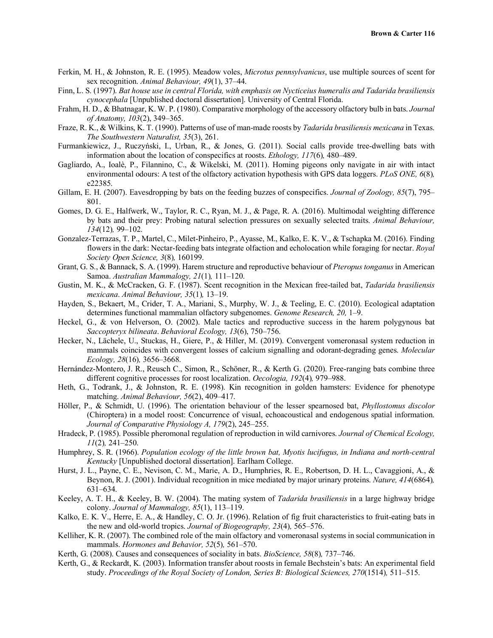- Ferkin, M. H., & Johnston, R. E. (1995). Meadow voles, *Microtus pennsylvanicus*, use multiple sources of scent for sex recognition. *Animal Behaviour, 49*(1), 37–44.
- Finn, L. S. (1997). *Bat house use in central Florida, with emphasis on Nycticeius humeralis and Tadarida brasiliensis cynocephala* [Unpublished doctoral dissertation]. University of Central Florida.
- Frahm, H. D., & Bhatnagar, K. W. P. (1980). Comparative morphology of the accessory olfactory bulb in bats. *Journal of Anatomy, 103*(2), 349–365.
- Fraze, R. K., & Wilkins, K. T. (1990). Patterns of use of man-made roosts by *Tadarida brasiliensis mexicana* in Texas. *The Southwestern Naturalist, 35*(3), 261.
- Furmankiewicz, J., Ruczyński, I., Urban, R., & Jones, G. (2011). Social calls provide tree-dwelling bats with information about the location of conspecifics at roosts. *Ethology, 117*(6)*,* 480–489.
- Gagliardo, A., Ioalè, P., Filannino, C., & Wikelski, M. (2011). Homing pigeons only navigate in air with intact environmental odours: A test of the olfactory activation hypothesis with GPS data loggers. *PLoS ONE, 6*(8)*,* e22385.
- Gillam, E. H. (2007). Eavesdropping by bats on the feeding buzzes of conspecifics. *Journal of Zoology, 85*(7), 795– 801.
- Gomes, D. G. E., Halfwerk, W., Taylor, R. C., Ryan, M. J., & Page, R. A. (2016). Multimodal weighting difference by bats and their prey: Probing natural selection pressures on sexually selected traits. *Animal Behaviour, 134*(12)*,* 99–102.
- Gonzalez-Terrazas, T. P., Martel, C., Milet-Pinheiro, P., Ayasse, M., Kalko, E. K. V., & Tschapka M. (2016). Finding flowers in the dark: Nectar-feeding bats integrate olfaction and echolocation while foraging for nectar. *Royal Society Open Science, 3*(8)*,* 160199.
- Grant, G. S., & Bannack, S. A. (1999). Harem structure and reproductive behaviour of *Pteropus tonganus*in American Samoa. *Australian Mammalogy, 21*(1)*,* 111–120.
- Gustin, M. K., & McCracken, G. F. (1987). Scent recognition in the Mexican free-tailed bat, *Tadarida brasiliensis mexicana*. *Animal Behaviour, 35*(1)*,* 13–19.
- Hayden, S., Bekaert, M., Crider, T. A., Mariani, S., Murphy, W. J., & Teeling, E. C. (2010). Ecological adaptation determines functional mammalian olfactory subgenomes. *Genome Research, 20,* 1–9.
- Heckel, G., & von Helverson, O. (2002). Male tactics and reproductive success in the harem polygynous bat *Saccopteryx bilineata*. *Behavioral Ecology, 13*(6), 750–756.
- Hecker, N., Lächele, U., Stuckas, H., Giere, P., & Hiller, M. (2019). Convergent vomeronasal system reduction in mammals coincides with convergent losses of calcium signalling and odorant-degrading genes. *Molecular Ecology, 28*(16)*,* 3656–3668.
- Hernández-Montero, J. R., Reusch C., Simon, R., Schöner, R., & Kerth G. (2020). Free-ranging bats combine three different cognitive processes for roost localization. *Oecologia, 192*(4)*,* 979–988.
- Heth, G., Todrank, J., & Johnston, R. E. (1998). Kin recognition in golden hamsters: Evidence for phenotype matching. *Animal Behaviour, 56*(2), 409–417.
- Höller, P., & Schmidt, U. (1996). The orientation behaviour of the lesser spearnosed bat, *Phyllostomus discolor* (Chiroptera) in a model roost: Concurrence of visual, echoacoustical and endogenous spatial information. *Journal of Comparative Physiology A, 179*(2), 245–255.
- Hradeck, P. (1985). Possible pheromonal regulation of reproduction in wild carnivores. *Journal of Chemical Ecology, 11*(2)*,* 241–250.
- Humphrey, S. R. (1966). *Population ecology of the little brown bat, Myotis lucifugus, in Indiana and north-central Kentucky* [Unpublished doctoral dissertation]. Earlham College.
- Hurst, J. L., Payne, C. E., Nevison, C. M., Marie, A. D., Humphries, R. E., Robertson, D. H. L., Cavaggioni, A., & Beynon, R. J. (2001). Individual recognition in mice mediated by major urinary proteins. *Nature, 414*(6864)*,* 631–634.
- Keeley, A. T. H., & Keeley, B. W. (2004). The mating system of *Tadarida brasiliensis* in a large highway bridge colony. *Journal of Mammalogy, 85*(1), 113–119.
- Kalko, E. K. V., Herre, E. A., & Handley, C. O. Jr. (1996). Relation of fig fruit characteristics to fruit-eating bats in the new and old-world tropics. *Journal of Biogeography, 23*(4)*,* 565–576.
- Kelliher, K. R. (2007). The combined role of the main olfactory and vomeronasal systems in social communication in mammals. *Hormones and Behavior, 52*(5)*,* 561–570.
- Kerth, G. (2008). Causes and consequences of sociality in bats. *BioScience, 58*(8)*,* 737–746.
- Kerth, G., & Reckardt, K. (2003). Information transfer about roosts in female Bechstein's bats: An experimental field study. *Proceedings of the Royal Society of London, Series B: Biological Sciences, 270*(1514)*,* 511–515.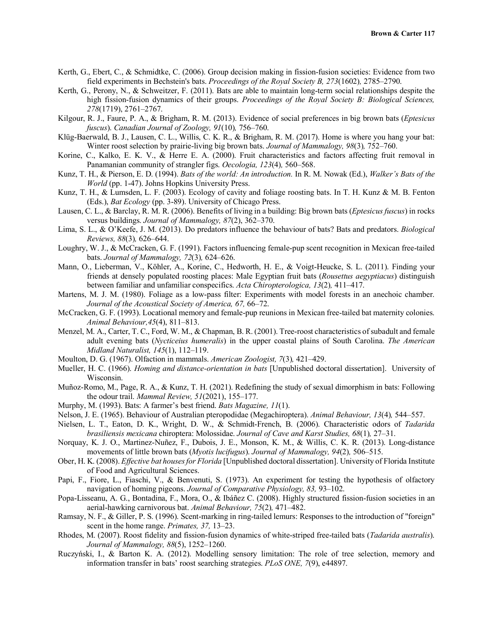- Kerth, G., Ebert, C., & Schmidtke, C. (2006). Group decision making in fission-fusion societies: Evidence from two field experiments in Bechstein's bats. *Proceedings of the Royal Society B, 273*(1602)*,* 2785–2790.
- Kerth, G., Perony, N., & Schweitzer, F. (2011). Bats are able to maintain long-term social relationships despite the high fission-fusion dynamics of their groups. *Proceedings of the Royal Society B: Biological Sciences, 278*(1719), 2761–2767.
- Kilgour, R. J., Faure, P. A., & Brigham, R. M. (2013). Evidence of social preferences in big brown bats (*Eptesicus fuscus*). *Canadian Journal of Zoology, 91*(10)*,* 756–760.
- Klüg-Baerwald, B. J., Lausen, C. L., Willis, C. K. R., & Brigham, R. M. (2017). Home is where you hang your bat: Winter roost selection by prairie-living big brown bats. *Journal of Mammalogy, 98*(3)*,* 752–760.
- Korine, C., Kalko, E. K. V., & Herre E. A. (2000). Fruit characteristics and factors affecting fruit removal in Panamanian community of strangler figs. *Oecologia, 123*(4)*,* 560–568.
- Kunz, T. H., & Pierson, E. D. (1994). *Bats of the world: An introduction.* In R. M. Nowak (Ed.), *Walker's Bats of the World* (pp. 1-47). Johns Hopkins University Press.
- Kunz, T. H., & Lumsden, L. F. (2003). Ecology of cavity and foliage roosting bats. In T. H. Kunz & M. B. Fenton (Eds.), *Bat Ecology* (pp. 3-89). University of Chicago Press.
- Lausen, C. L., & Barclay, R. M. R. (2006). Benefits of living in a building: Big brown bats (*Eptesicus fuscus*) in rocks versus buildings. *Journal of Mammalogy, 87*(2), 362–370.
- Lima, S. L., & O'Keefe, J. M. (2013). Do predators influence the behaviour of bats? Bats and predators. *Biological Reviews, 88*(3)*,* 626–644.
- Loughry, W. J., & McCracken, G. F. (1991). Factors influencing female-pup scent recognition in Mexican free-tailed bats. *Journal of Mammalogy, 72*(3)*,* 624–626.
- Mann, O., Lieberman, V., Köhler, A., Korine, C., Hedworth, H. E., & Voigt-Heucke, S. L. (2011). Finding your friends at densely populated roosting places: Male Egyptian fruit bats (*Rousettus aegyptiacus*) distinguish between familiar and unfamiliar conspecifics. *Acta Chiropterologica, 13*(2)*,* 411–417.
- Martens, M. J. M. (1980). Foliage as a low-pass filter: Experiments with model forests in an anechoic chamber. *Journal of the Acoustical Society of America, 67,* 66–72.
- McCracken, G. F. (1993). Locational memory and female-pup reunions in Mexican free-tailed bat maternity colonies. *Animal Behaviour,45*(4), 811–813.
- Menzel, M. A., Carter, T. C., Ford, W. M., & Chapman, B. R. (2001). Tree-roost characteristics of subadult and female adult evening bats (*Nycticeius humeralis*) in the upper coastal plains of South Carolina. *The American Midland Naturalist, 145*(1), 112–119.
- Moulton, D. G. (1967). Olfaction in mammals. *American Zoologist, 7*(3)*,* 421–429.
- Mueller, H. C. (1966). *Homing and distance-orientation in bats* [Unpublished doctoral dissertation]. University of Wisconsin.
- Muñoz-Romo, M., Page, R. A., & Kunz, T. H. (2021). Redefining the study of sexual dimorphism in bats: Following the odour trail. *Mammal Review, 51*(2021), 155–177.
- Murphy, M. (1993). Bats: A farmer's best friend. *Bats Magazine, 11*(1).
- Nelson, J. E. (1965). Behaviour of Australian pteropodidae (Megachiroptera). *Animal Behaviour, 13*(4)*,* 544–557.
- Nielsen, L. T., Eaton, D. K., Wright, D. W., & Schmidt-French, B. (2006). Characteristic odors of *Tadarida brasiliensis mexicana* chiroptera: Molossidae. *Journal of Cave and Karst Studies, 68*(1)*,* 27–31.
- Norquay, K. J. O., Martinez-Nuñez, F., Dubois, J. E., Monson, K. M., & Willis, C. K. R. (2013). Long-distance movements of little brown bats (*Myotis lucifugus*). *Journal of Mammalogy, 94*(2)*,* 506–515.
- Ober, H. K. (2008). *Effective bat houses for Florida* [Unpublished doctoral dissertation]. University of Florida Institute of Food and Agricultural Sciences.
- Papi, F., Fiore, L., Fiaschi, V., & Benvenuti, S. (1973). An experiment for testing the hypothesis of olfactory navigation of homing pigeons. *Journal of Comparative Physiology, 83,* 93–102.
- Popa-Lisseanu, A. G., Bontadina, F., Mora, O., & Ibáñez C. (2008). Highly structured fission-fusion societies in an aerial-hawking carnivorous bat. *Animal Behaviour, 75*(2)*,* 471–482.
- Ramsay, N. F., & Giller, P. S. (1996). Scent-marking in ring-tailed lemurs: Responses to the introduction of "foreign" scent in the home range. *Primates, 37,* 13–23.
- Rhodes, M. (2007). Roost fidelity and fission-fusion dynamics of white-striped free-tailed bats (*Tadarida australis*). *Journal of Mammalogy, 88*(5), 1252–1260.
- Ruczyński, I., & Barton K. A. (2012). Modelling sensory limitation: The role of tree selection, memory and information transfer in bats' roost searching strategies. *PLoS ONE, 7*(9), e44897.